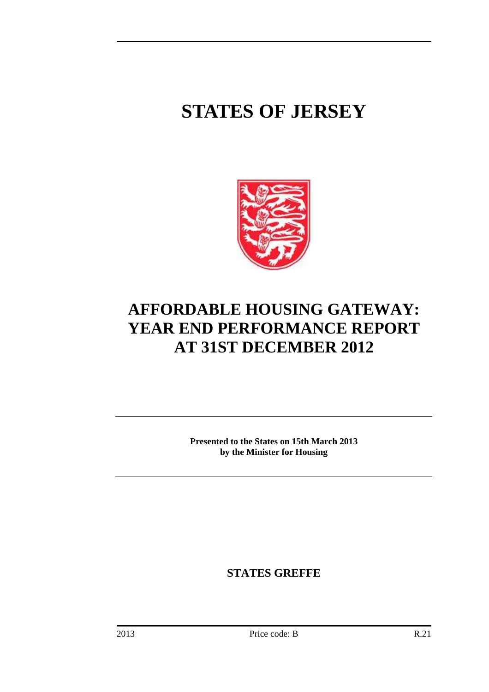# **STATES OF JERSEY**



# **AFFORDABLE HOUSING GATEWAY: YEAR END PERFORMANCE REPORT AT 31ST DECEMBER 2012**

**Presented to the States on 15th March 2013 by the Minister for Housing** 

**STATES GREFFE**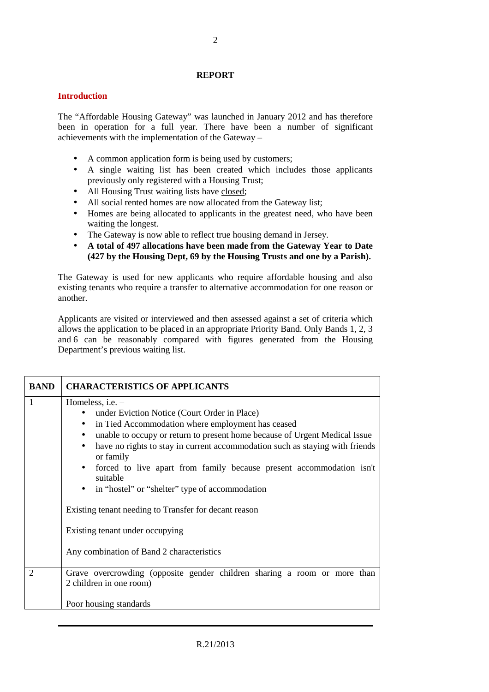#### **REPORT**

#### **Introduction**

The "Affordable Housing Gateway" was launched in January 2012 and has therefore been in operation for a full year. There have been a number of significant achievements with the implementation of the Gateway –

- A common application form is being used by customers;
- A single waiting list has been created which includes those applicants previously only registered with a Housing Trust;
- All Housing Trust waiting lists have closed:
- All social rented homes are now allocated from the Gateway list;
- Homes are being allocated to applicants in the greatest need, who have been waiting the longest.
- The Gateway is now able to reflect true housing demand in Jersey.
- **A total of 497 allocations have been made from the Gateway Year to Date (427 by the Housing Dept, 69 by the Housing Trusts and one by a Parish).**

The Gateway is used for new applicants who require affordable housing and also existing tenants who require a transfer to alternative accommodation for one reason or another.

Applicants are visited or interviewed and then assessed against a set of criteria which allows the application to be placed in an appropriate Priority Band. Only Bands 1, 2, 3 and 6 can be reasonably compared with figures generated from the Housing Department's previous waiting list.

| <b>BAND</b>    | <b>CHARACTERISTICS OF APPLICANTS</b>                                                                                                                                                                                                                                                                                                                                                                                                                                                                                                                                                                                                               |
|----------------|----------------------------------------------------------------------------------------------------------------------------------------------------------------------------------------------------------------------------------------------------------------------------------------------------------------------------------------------------------------------------------------------------------------------------------------------------------------------------------------------------------------------------------------------------------------------------------------------------------------------------------------------------|
| 1              | Homeless, i.e. -<br>under Eviction Notice (Court Order in Place)<br>$\bullet$<br>in Tied Accommodation where employment has ceased<br>$\bullet$<br>unable to occupy or return to present home because of Urgent Medical Issue<br>$\bullet$<br>have no rights to stay in current accommodation such as staying with friends<br>$\bullet$<br>or family<br>forced to live apart from family because present accommodation isn't<br>$\bullet$<br>suitable<br>• in "hostel" or "shelter" type of accommodation<br>Existing tenant needing to Transfer for decant reason<br>Existing tenant under occupying<br>Any combination of Band 2 characteristics |
| $\overline{2}$ | Grave overcrowding (opposite gender children sharing a room or more than<br>2 children in one room)<br>Poor housing standards                                                                                                                                                                                                                                                                                                                                                                                                                                                                                                                      |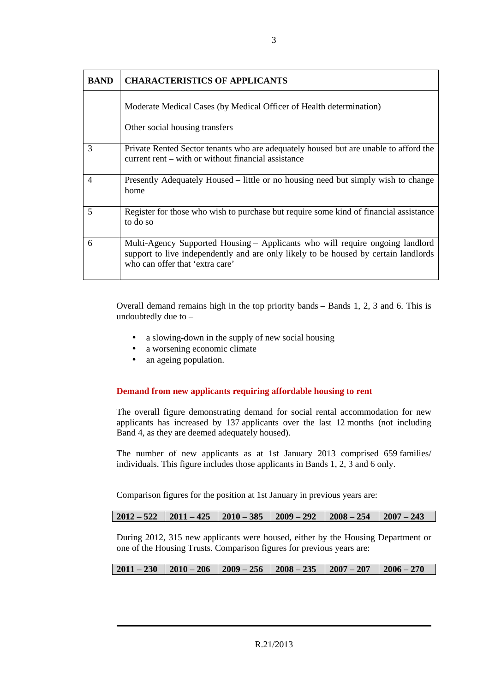| <b>BAND</b>    | <b>CHARACTERISTICS OF APPLICANTS</b>                                                                                                                                                                    |
|----------------|---------------------------------------------------------------------------------------------------------------------------------------------------------------------------------------------------------|
|                | Moderate Medical Cases (by Medical Officer of Health determination)<br>Other social housing transfers                                                                                                   |
| 3              | Private Rented Sector tenants who are adequately housed but are unable to afford the<br>current rent – with or without financial assistance                                                             |
| $\overline{4}$ | Presently Adequately Housed – little or no housing need but simply wish to change<br>home                                                                                                               |
| 5              | Register for those who wish to purchase but require some kind of financial assistance<br>to do so                                                                                                       |
| 6              | Multi-Agency Supported Housing – Applicants who will require ongoing landlord<br>support to live independently and are only likely to be housed by certain landlords<br>who can offer that 'extra care' |

Overall demand remains high in the top priority bands – Bands 1, 2, 3 and 6. This is undoubtedly due to –

- a slowing-down in the supply of new social housing
- a worsening economic climate
- an ageing population.

#### **Demand from new applicants requiring affordable housing to rent**

The overall figure demonstrating demand for social rental accommodation for new applicants has increased by 137 applicants over the last 12 months (not including Band 4, as they are deemed adequately housed).

The number of new applicants as at 1st January 2013 comprised 659 families/ individuals. This figure includes those applicants in Bands 1, 2, 3 and 6 only.

Comparison figures for the position at 1st January in previous years are:

| $2012 - 522$   $2011 - 425$   $2010 - 385$   $2009 - 292$   $2008 - 254$   $2007 - 243$ |  |  |  |  |  |
|-----------------------------------------------------------------------------------------|--|--|--|--|--|
|-----------------------------------------------------------------------------------------|--|--|--|--|--|

During 2012, 315 new applicants were housed, either by the Housing Department or one of the Housing Trusts. Comparison figures for previous years are:

| $\mid$ 2011 – 230 $\mid$ 2010 – 206 $\mid$ 2009 – 256 $\mid$ 2008 – 235 $\mid$ 2007 – 207 $\mid$ 2006 – 270 |  |  |  |  |  |
|-------------------------------------------------------------------------------------------------------------|--|--|--|--|--|
|-------------------------------------------------------------------------------------------------------------|--|--|--|--|--|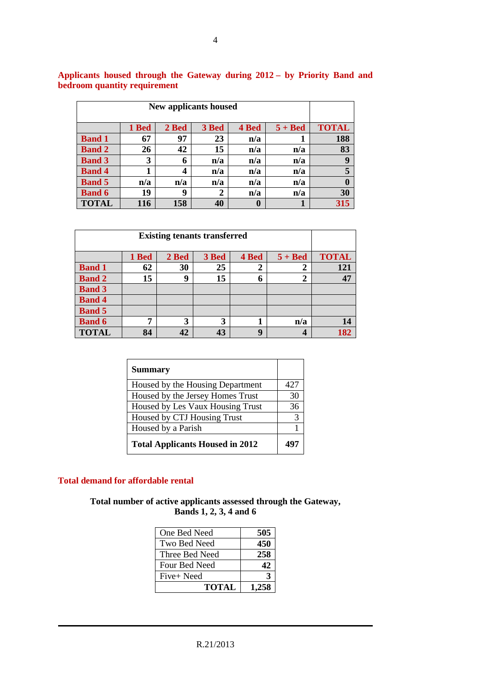| <b>New applicants housed</b> |       |       |       |       |           |              |  |
|------------------------------|-------|-------|-------|-------|-----------|--------------|--|
|                              | 1 Bed | 2 Bed | 3 Bed | 4 Bed | $5 + Bed$ | <b>TOTAL</b> |  |
| <b>Band 1</b>                | 67    | 97    | 23    | n/a   |           | 188          |  |
| <b>Band 2</b>                | 26    | 42    | 15    | n/a   | n/a       | 83           |  |
| <b>Band 3</b>                | 3     | 6     | n/a   | n/a   | n/a       | 9            |  |
| <b>Band 4</b>                |       | 4     | n/a   | n/a   | n/a       | 5            |  |
| <b>Band 5</b>                | n/a   | n/a   | n/a   | n/a   | n/a       | 0            |  |
| <b>Band 6</b>                | 19    | 9     | 2     | n/a   | n/a       | 30           |  |
| <b>TOTAL</b>                 | 116   | 158   | 40    | 0     |           | 315          |  |

**Applicants housed through the Gateway during 2012 – by Priority Band and bedroom quantity requirement** 

| <b>Existing tenants transferred</b> |              |    |    |             |                |     |  |
|-------------------------------------|--------------|----|----|-------------|----------------|-----|--|
|                                     | <b>TOTAL</b> |    |    |             |                |     |  |
| <b>Band 1</b>                       | 62           | 30 | 25 | 2           | 2              | 121 |  |
| <b>Band 2</b>                       | 15           | 9  | 15 | 6           | $\overline{2}$ | 47  |  |
| <b>Band 3</b>                       |              |    |    |             |                |     |  |
| <b>Band 4</b>                       |              |    |    |             |                |     |  |
| <b>Band 5</b>                       |              |    |    |             |                |     |  |
| <b>Band 6</b>                       | 7            | 3  | 3  |             | n/a            | 14  |  |
| <b>TOTAL</b>                        | 84           | 42 | 43 | $\mathbf Q$ |                | 182 |  |

| <b>Summary</b>                         |     |
|----------------------------------------|-----|
| Housed by the Housing Department       | 427 |
| Housed by the Jersey Homes Trust       | 30  |
| Housed by Les Vaux Housing Trust       | 36  |
| Housed by CTJ Housing Trust            | 3   |
| Housed by a Parish                     |     |
| <b>Total Applicants Housed in 2012</b> |     |

#### **Total demand for affordable rental**

**Total number of active applicants assessed through the Gateway, Bands 1, 2, 3, 4 and 6** 

| One Bed Need   | 505   |
|----------------|-------|
| Two Bed Need   | 450   |
| Three Bed Need | 258   |
| Four Bed Need  | 42    |
| Five+ Need     |       |
| <b>TOTAL</b>   | 1 258 |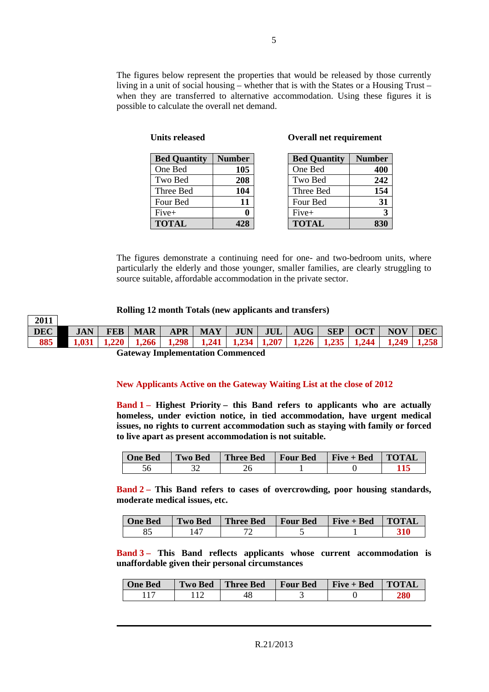The figures below represent the properties that would be released by those currently living in a unit of social housing – whether that is with the States or a Housing Trust – when they are transferred to alternative accommodation. Using these figures it is possible to calculate the overall net demand.

| <b>Bed Quantity</b> | <b>Number</b> |
|---------------------|---------------|
| One Bed             | 105           |
| Two Bed             | 208           |
| Three Bed           | 104           |
| Four Bed            | 11            |
| Five+               |               |
| <b>TOTAL</b>        |               |

**Units released** 

#### **Overall net requirement**

| <b>Bed Quantity</b> | <b>Number</b> |
|---------------------|---------------|
| One Bed             | 400           |
| Two Bed             | 242           |
| Three Bed           | 154           |
| Four Bed            | 31            |
| Five+               | 3             |
| <b>TOTAL</b>        | 83            |

The figures demonstrate a continuing need for one- and two-bedroom units, where particularly the elderly and those younger, smaller families, are clearly struggling to source suitable, affordable accommodation in the private sector.

#### **Rolling 12 month Totals (new applicants and transfers)**

| $\mid$ 2011 |                                                                              |  |  |  |  |  |  |
|-------------|------------------------------------------------------------------------------|--|--|--|--|--|--|
|             | DEC    JAN   FEB   MAR   APR   MAY   JUN   JUL   AUG   SEP   OCT   NOV   DEC |  |  |  |  |  |  |
|             |                                                                              |  |  |  |  |  |  |
|             |                                                                              |  |  |  |  |  |  |

**Gateway Implementation Commenced** 

#### **New Applicants Active on the Gateway Waiting List at the close of 2012**

**Band 1 – Highest Priority – this Band refers to applicants who are actually homeless, under eviction notice, in tied accommodation, have urgent medical issues, no rights to current accommodation such as staying with family or forced to live apart as present accommodation is not suitable.** 

| <b>One Bed</b> | <b>Two Bed</b> | Three Bed | Four Bed | $\parallel$ Five + Bed | <b>TOTAL</b> |
|----------------|----------------|-----------|----------|------------------------|--------------|
|                |                |           |          |                        |              |

**Band 2 – This Band refers to cases of overcrowding, poor housing standards, moderate medical issues, etc.** 

| <b>One Bed</b> | <b>Two Bed</b> | Three Bed   Four Bed | $\mathbf{Five} + \mathbf{Bed}$ | <b>TOTAL</b> |
|----------------|----------------|----------------------|--------------------------------|--------------|
|                |                |                      |                                |              |

**Band 3 – This Band reflects applicants whose current accommodation is unaffordable given their personal circumstances**

| <b>One Bed</b> | <b>Two Bed</b> | <b>Three Bed</b> | <b>Four Bed</b> | $Five + Bed$ | <b>TOTAL</b> |
|----------------|----------------|------------------|-----------------|--------------|--------------|
|                |                |                  |                 |              |              |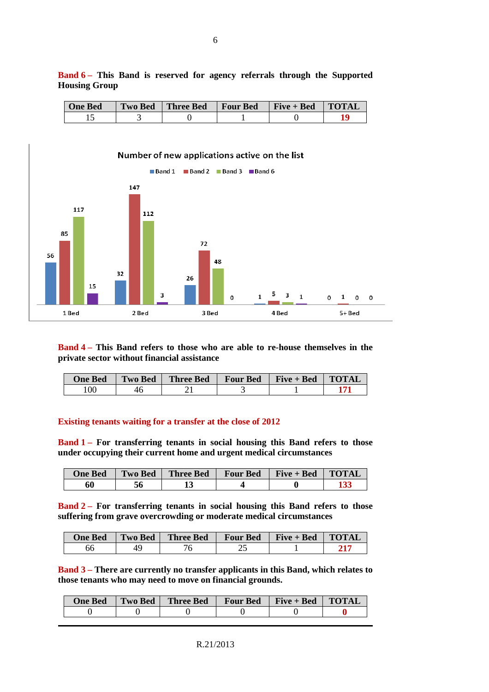| <b>One Bed</b> | <b>Two Bed</b> | Three Bed | Four Bed | $Five + Bed$ | <b>TOTAL</b> |
|----------------|----------------|-----------|----------|--------------|--------------|
|                |                |           |          |              |              |



**Band 4 – This Band refers to those who are able to re-house themselves in the private sector without financial assistance** 

| <b>One Bed</b> | <b>Two Bed</b> | <b>Three Bed</b> | <b>Four Bed</b> | $Five + Bed$ | <b>TOTAL</b> |
|----------------|----------------|------------------|-----------------|--------------|--------------|
| 00             | 46             |                  |                 |              |              |

#### **Existing tenants waiting for a transfer at the close of 2012**

**Band 1 – For transferring tenants in social housing this Band refers to those under occupying their current home and urgent medical circumstances**

| <b>One Bed</b> | <b>Two Bed</b> | <b>Three Bed</b> | <b>Four Bed</b> | $Five + Bed$ | <b>TOTAL</b> |
|----------------|----------------|------------------|-----------------|--------------|--------------|
| 60             | 56             |                  |                 |              | 133          |

**Band 2 – For transferring tenants in social housing this Band refers to those suffering from grave overcrowding or moderate medical circumstances** 

| <b>One Bed</b> | <b>Two Bed</b> | <b>Three Bed</b> | <b>Four Bed</b> | Five + Bed | <b>TOTAL</b> |
|----------------|----------------|------------------|-----------------|------------|--------------|
| bt             | 40             |                  | ~∼              |            |              |

**Band 3 – There are currently no transfer applicants in this Band, which relates to those tenants who may need to move on financial grounds.**

| <b>One Bed</b> | Two Bed | <b>Three Bed</b> | <b>Four Bed</b> | $Five + Bed$ | <b>TOTAL</b> |
|----------------|---------|------------------|-----------------|--------------|--------------|
|                |         |                  |                 |              |              |

**Band 6 – This Band is reserved for agency referrals through the Supported** 

**Housing Group**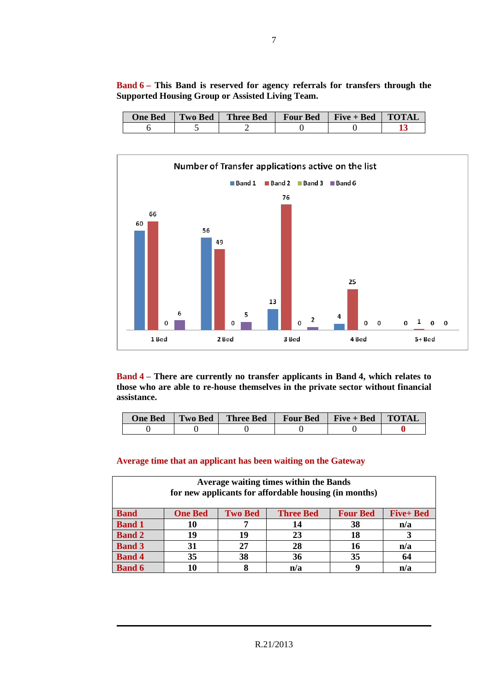| <b>One Bed</b> | Two Bed | <b>Three Bed</b> | <b>Four Bed</b> | $Five + Bed$ | <b>TOTAL</b> |
|----------------|---------|------------------|-----------------|--------------|--------------|
|                |         |                  |                 |              |              |





**Band 4 – There are currently no transfer applicants in Band 4, which relates to those who are able to re-house themselves in the private sector without financial assistance.** 

| <b>One Bed</b> | <b>Two Bed</b> | <b>Three Bed</b> | <b>Four Bed</b> | $Five + Bed$ | ' TOTAL |
|----------------|----------------|------------------|-----------------|--------------|---------|
|                |                |                  |                 |              |         |

#### **Average time that an applicant has been waiting on the Gateway**

| Average waiting times within the Bands<br>for new applicants for affordable housing (in months) |                |                |                  |                 |                  |  |  |  |
|-------------------------------------------------------------------------------------------------|----------------|----------------|------------------|-----------------|------------------|--|--|--|
| <b>Band</b>                                                                                     | <b>One Bed</b> | <b>Two Bed</b> | <b>Three Bed</b> | <b>Four Bed</b> | <b>Five+ Bed</b> |  |  |  |
| <b>Band 1</b>                                                                                   | 10             |                | 14               | 38              | n/a              |  |  |  |
| <b>Band 2</b>                                                                                   | 19             | 19             | 23               | 18              |                  |  |  |  |
| <b>Band 3</b>                                                                                   | 31             | 27             | 28               | 16              | n/a              |  |  |  |
| <b>Band 4</b>                                                                                   | 35             | 38             | 36               | 35              | 64               |  |  |  |
| <b>Band 6</b>                                                                                   | 10             |                | n/a              | a               | n/a              |  |  |  |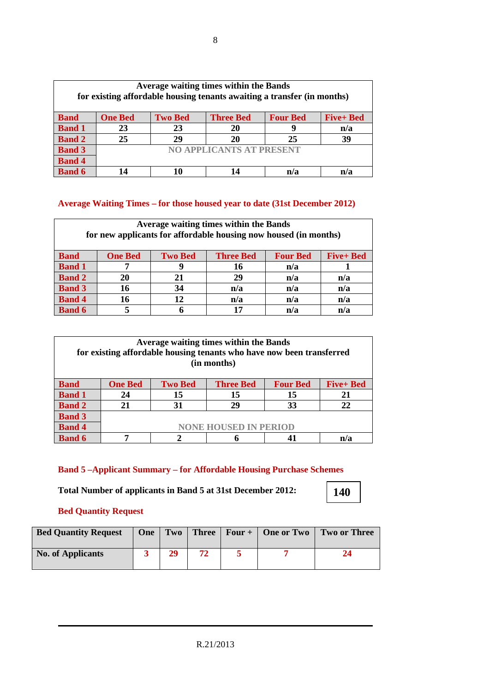| Average waiting times within the Bands<br>for existing affordable housing tenants awaiting a transfer (in months) |                |                |                                 |                 |                 |  |  |  |
|-------------------------------------------------------------------------------------------------------------------|----------------|----------------|---------------------------------|-----------------|-----------------|--|--|--|
| <b>Band</b>                                                                                                       | <b>One Bed</b> | <b>Two Bed</b> | <b>Three Bed</b>                | <b>Four Bed</b> | <b>Five+Bed</b> |  |  |  |
| <b>Band 1</b>                                                                                                     | 23             | 23             | 20                              |                 | n/a             |  |  |  |
| <b>Band 2</b>                                                                                                     | 25             | 29             | 20                              | 25              | 39              |  |  |  |
| <b>Band 3</b>                                                                                                     |                |                | <b>NO APPLICANTS AT PRESENT</b> |                 |                 |  |  |  |
| <b>Band 4</b>                                                                                                     |                |                |                                 |                 |                 |  |  |  |
| <b>Band 6</b>                                                                                                     | 14             |                | 14                              | n/a             | n/a             |  |  |  |

#### **Average Waiting Times – for those housed year to date (31st December 2012)**

| Average waiting times within the Bands<br>for new applicants for affordable housing now housed (in months) |                |                |                  |                 |                 |  |  |  |  |
|------------------------------------------------------------------------------------------------------------|----------------|----------------|------------------|-----------------|-----------------|--|--|--|--|
| <b>Band</b>                                                                                                | <b>One Bed</b> | <b>Two Bed</b> | <b>Three Bed</b> | <b>Four Bed</b> | <b>Five+Bed</b> |  |  |  |  |
| <b>Band 1</b>                                                                                              |                |                | 16               | n/a             |                 |  |  |  |  |
| <b>Band 2</b>                                                                                              | 20             | 21             | 29               | n/a             | n/a             |  |  |  |  |
| <b>Band 3</b>                                                                                              | 16             | 34             | n/a              | n/a             | n/a             |  |  |  |  |
| <b>Band 4</b>                                                                                              | 16             | 12             | n/a              | n/a             | n/a             |  |  |  |  |
| <b>Band 6</b>                                                                                              | 5              |                | 17               | n/a             | n/a             |  |  |  |  |

| Average waiting times within the Bands<br>for existing affordable housing tenants who have now been transferred<br>(in months) |                                                                                             |    |    |    |     |  |
|--------------------------------------------------------------------------------------------------------------------------------|---------------------------------------------------------------------------------------------|----|----|----|-----|--|
| <b>Band</b>                                                                                                                    | <b>One Bed</b><br><b>Two Bed</b><br><b>Five+ Bed</b><br><b>Three Bed</b><br><b>Four Bed</b> |    |    |    |     |  |
| <b>Band 1</b>                                                                                                                  | 24                                                                                          | 15 | 15 | 15 | 21  |  |
| <b>Band 2</b>                                                                                                                  | 21                                                                                          | 31 | 29 | 33 | 22  |  |
| <b>Band 3</b>                                                                                                                  |                                                                                             |    |    |    |     |  |
| <b>Band 4</b>                                                                                                                  | <b>NONE HOUSED IN PERIOD</b>                                                                |    |    |    |     |  |
| <b>Band 6</b>                                                                                                                  | 7                                                                                           |    |    |    | n/a |  |

# **Band 5 –Applicant Summary – for Affordable Housing Purchase Schemes**

**Total Number of applicants in Band 5 at 31st December 2012:** 

## **Bed Quantity Request**

| <b>Bed Quantity Request</b> | One   Two |  | Three   Four + $\vert$ One or Two | <b>Two or Three</b> |
|-----------------------------|-----------|--|-----------------------------------|---------------------|
| <b>No. of Applicants</b>    | 29        |  |                                   |                     |